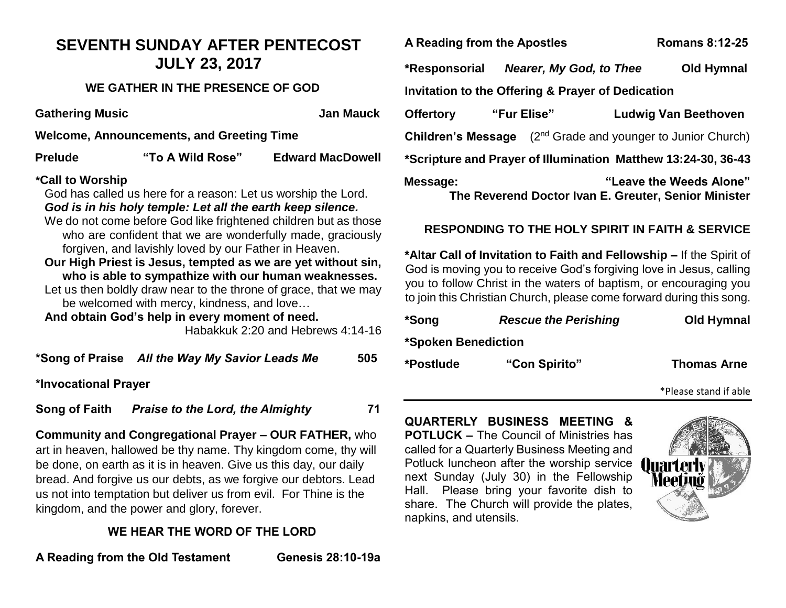## **SEVENTH SUNDAY AFTER PENTECOST JULY 23, 2017**

### **WE GATHER IN THE PRESENCE OF GOD**

**Gathering Music Community Community Community Community Community Community Community Community Community Community Community Community Community Community Community Community Community Community Community Community Commu** 

**Welcome, Announcements, and Greeting Time**

| <b>Prelude</b> | "To A Wild Rose" | <b>Edward MacDowell</b> |
|----------------|------------------|-------------------------|
|                |                  |                         |

#### **\*Call to Worship**

God has called us here for a reason: Let us worship the Lord. *God is in his holy temple: Let all the earth keep silence.*

- We do not come before God like frightened children but as those who are confident that we are wonderfully made, graciously forgiven, and lavishly loved by our Father in Heaven.
- **Our High Priest is Jesus, tempted as we are yet without sin, who is able to sympathize with our human weaknesses.**
- Let us then boldly draw near to the throne of grace, that we may be welcomed with mercy, kindness, and love…

**And obtain God's help in every moment of need.** 

Habakkuk 2:20 and Hebrews 4:14-16

**\*Song of Praise** *All the Way My Savior Leads Me* **505**

**\*Invocational Prayer**

**Song of Faith** *Praise to the Lord, the Almighty* **71** 

**Community and Congregational Prayer – OUR FATHER,** who art in heaven, hallowed be thy name. Thy kingdom come, thy will be done, on earth as it is in heaven. Give us this day, our daily bread. And forgive us our debts, as we forgive our debtors. Lead us not into temptation but deliver us from evil. For Thine is the kingdom, and the power and glory, forever.

## **WE HEAR THE WORD OF THE LORD**

**A Reading from the Old Testament Genesis 28:10-19a**

**A Reading from the Apostles Romans 8:12-25** 

napkins, and utensils.

**\*Responsorial** *Nearer, My God, to Thee* **Old Hymnal Invitation to the Offering & Prayer of Dedication**

| <b>Offertory</b>                                              | "Fur Elise" |  | <b>Ludwig Van Beethoven</b>                          |  |  |
|---------------------------------------------------------------|-------------|--|------------------------------------------------------|--|--|
| Children's Message                                            |             |  | (2 <sup>nd</sup> Grade and younger to Junior Church) |  |  |
| *Scripture and Prayer of Illumination Matthew 13:24-30, 36-43 |             |  |                                                      |  |  |
| Message:                                                      |             |  | "Leave the Weeds Alone"                              |  |  |
|                                                               |             |  | The Reverend Doctor Ivan E. Greuter, Senior Minister |  |  |

## **RESPONDING TO THE HOLY SPIRIT IN FAITH & SERVICE**

**\*Altar Call of Invitation to Faith and Fellowship –** If the Spirit of God is moving you to receive God's forgiving love in Jesus, calling you to follow Christ in the waters of baptism, or encouraging you to join this Christian Church, please come forward during this song.

| *Song                      | <b>Rescue the Perishing</b> | Old Hymnal         |
|----------------------------|-----------------------------|--------------------|
| *Spoken Benediction        |                             |                    |
| "Con Spirito"<br>*Postlude |                             | <b>Thomas Arne</b> |



\*Please stand if able